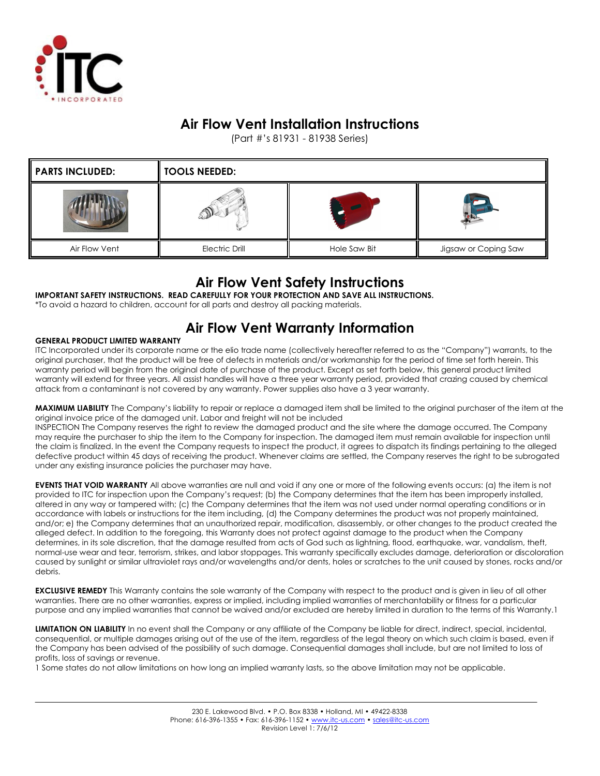

## Air Flow Vent Installation Instructions

(Part #'s 81931 - 81938 Series)

| <b>PARTS INCLUDED:</b> | $\parallel$ Tools needed: |              |                      |
|------------------------|---------------------------|--------------|----------------------|
|                        |                           |              |                      |
| Air Flow Vent          | <b>Electric Drill</b>     | Hole Saw Bit | Jigsaw or Coping Saw |

### Air Flow Vent Safety Instructions

IMPORTANT SAFETY INSTRUCTIONS. READ CAREFULLY FOR YOUR PROTECTION AND SAVE ALL INSTRUCTIONS.

\*To avoid a hazard to children, account for all parts and destroy all packing materials.

# Air Flow Vent Warranty Information

#### GENERAL PRODUCT LIMITED WARRANTY

ITC Incorporated under its corporate name or the elio trade name (collectively hereafter referred to as the "Company") warrants, to the original purchaser, that the product will be free of defects in materials and/or workmanship for the period of time set forth herein. This warranty period will begin from the original date of purchase of the product. Except as set forth below, this general product limited warranty will extend for three years. All assist handles will have a three year warranty period, provided that crazing caused by chemical attack from a contaminant is not covered by any warranty. Power supplies also have a 3 year warranty.

MAXIMUM LIABILITY The Company's liability to repair or replace a damaged item shall be limited to the original purchaser of the item at the original invoice price of the damaged unit. Labor and freight will not be included

INSPECTION The Company reserves the right to review the damaged product and the site where the damage occurred. The Company may require the purchaser to ship the item to the Company for inspection. The damaged item must remain available for inspection until the claim is finalized. In the event the Company requests to inspect the product, it agrees to dispatch its findings pertaining to the alleged defective product within 45 days of receiving the product. Whenever claims are settled, the Company reserves the right to be subrogated under any existing insurance policies the purchaser may have.

EVENTS THAT VOID WARRANTY All above warranties are null and void if any one or more of the following events occurs: (a) the item is not provided to ITC for inspection upon the Company's request; (b) the Company determines that the item has been improperly installed, altered in any way or tampered with; (c) the Company determines that the item was not used under normal operating conditions or in accordance with labels or instructions for the item including, (d) the Company determines the product was not properly maintained, and/or; e) the Company determines that an unauthorized repair, modification, disassembly, or other changes to the product created the alleged defect. In addition to the foregoing, this Warranty does not protect against damage to the product when the Company determines, in its sole discretion, that the damage resulted from acts of God such as lightning, flood, earthquake, war, vandalism, theft, normal-use wear and tear, terrorism, strikes, and labor stoppages. This warranty specifically excludes damage, deterioration or discoloration caused by sunlight or similar ultraviolet rays and/or wavelengths and/or dents, holes or scratches to the unit caused by stones, rocks and/or debris.

**EXCLUSIVE REMEDY** This Warranty contains the sole warranty of the Company with respect to the product and is given in lieu of all other warranties. There are no other warranties, express or implied, including implied warranties of merchantability or fitness for a particular purpose and any implied warranties that cannot be waived and/or excluded are hereby limited in duration to the terms of this Warranty.1

LIMITATION ON LIABILITY In no event shall the Company or any affiliate of the Company be liable for direct, indirect, special, incidental, consequential, or multiple damages arising out of the use of the item, regardless of the legal theory on which such claim is based, even if the Company has been advised of the possibility of such damage. Consequential damages shall include, but are not limited to loss of profits, loss of savings or revenue.

1 Some states do not allow limitations on how long an implied warranty lasts, so the above limitation may not be applicable.